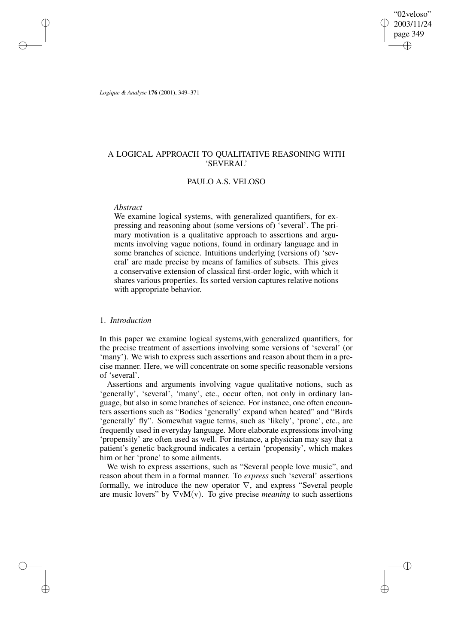"02veloso" 2003/11/24 page 349 ✐ ✐

✐

✐

*Logique & Analyse* **176** (2001), 349–371

✐

✐

✐

✐

# A LOGICAL APPROACH TO QUALITATIVE REASONING WITH 'SEVERAL'

## PAULO A.S. VELOSO

#### *Abstract*

We examine logical systems, with generalized quantifiers, for expressing and reasoning about (some versions of) 'several'. The primary motivation is a qualitative approach to assertions and arguments involving vague notions, found in ordinary language and in some branches of science. Intuitions underlying (versions of) 'several' are made precise by means of families of subsets. This gives a conservative extension of classical first-order logic, with which it shares various properties. Its sorted version captures relative notions with appropriate behavior.

### 1. *Introduction*

In this paper we examine logical systems,with generalized quantifiers, for the precise treatment of assertions involving some versions of 'several' (or 'many'). We wish to express such assertions and reason about them in a precise manner. Here, we will concentrate on some specific reasonable versions of 'several'.

Assertions and arguments involving vague qualitative notions, such as 'generally', 'several', 'many', etc., occur often, not only in ordinary language, but also in some branches of science. For instance, one often encounters assertions such as "Bodies 'generally' expand when heated" and "Birds 'generally' fly". Somewhat vague terms, such as 'likely', 'prone', etc., are frequently used in everyday language. More elaborate expressions involving 'propensity' are often used as well. For instance, a physician may say that a patient's genetic background indicates a certain 'propensity', which makes him or her 'prone' to some ailments.

We wish to express assertions, such as "Several people love music", and reason about them in a formal manner. To *express* such 'several' assertions formally, we introduce the new operator  $\nabla$ , and express "Several people are music lovers" by  $\nabla v M(v)$ . To give precise *meaning* to such assertions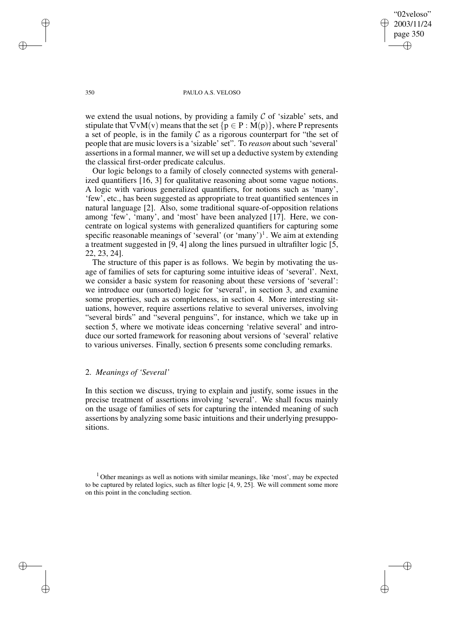"02veloso" 2003/11/24 page 350 ✐ ✐

✐

✐

#### 350 PAULO A.S. VELOSO

we extend the usual notions, by providing a family  $\mathcal C$  of 'sizable' sets, and stipulate that  $\nabla v M(v)$  means that the set  $\{p \in P : M(p)\}\$ , where P represents a set of people, is in the family  $\mathcal C$  as a rigorous counterpart for "the set of people that are music lovers is a 'sizable' set". To *reason* about such 'several' assertions in a formal manner, we will set up a deductive system by extending the classical first-order predicate calculus.

Our logic belongs to a family of closely connected systems with generalized quantifiers [16, 3] for qualitative reasoning about some vague notions. A logic with various generalized quantifiers, for notions such as 'many', 'few', etc., has been suggested as appropriate to treat quantified sentences in natural language [2]. Also, some traditional square-of-opposition relations among 'few', 'many', and 'most' have been analyzed [17]. Here, we concentrate on logical systems with generalized quantifiers for capturing some specific reasonable meanings of 'several' (or 'many')<sup>1</sup>. We aim at extending a treatment suggested in [9, 4] along the lines pursued in ultrafilter logic [5, 22, 23, 24].

The structure of this paper is as follows. We begin by motivating the usage of families of sets for capturing some intuitive ideas of 'several'. Next, we consider a basic system for reasoning about these versions of 'several': we introduce our (unsorted) logic for 'several', in section 3, and examine some properties, such as completeness, in section 4. More interesting situations, however, require assertions relative to several universes, involving "several birds" and "several penguins", for instance, which we take up in section 5, where we motivate ideas concerning 'relative several' and introduce our sorted framework for reasoning about versions of 'several' relative to various universes. Finally, section 6 presents some concluding remarks.

### 2. *Meanings of 'Several'*

In this section we discuss, trying to explain and justify, some issues in the precise treatment of assertions involving 'several'. We shall focus mainly on the usage of families of sets for capturing the intended meaning of such assertions by analyzing some basic intuitions and their underlying presuppositions.

 $1$  Other meanings as well as notions with similar meanings, like 'most', may be expected to be captured by related logics, such as filter logic [4, 9, 25]. We will comment some more on this point in the concluding section.

✐

✐

✐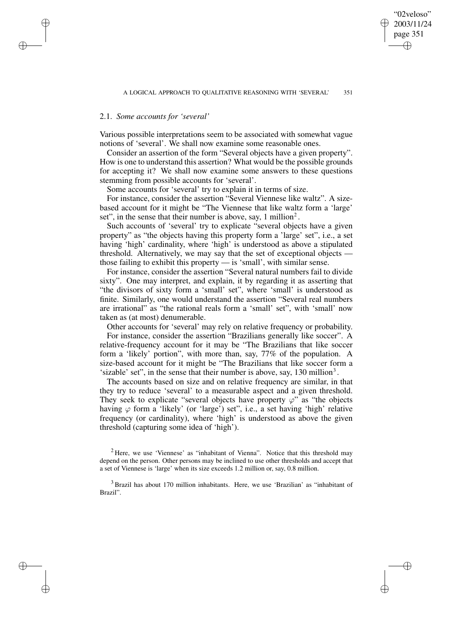"02veloso" 2003/11/24 page 351

✐

✐

✐

✐

# 2.1. *Some accounts for 'several'*

✐

✐

✐

✐

Various possible interpretations seem to be associated with somewhat vague notions of 'several'. We shall now examine some reasonable ones.

Consider an assertion of the form "Several objects have a given property". How is one to understand this assertion? What would be the possible grounds for accepting it? We shall now examine some answers to these questions stemming from possible accounts for 'several'.

Some accounts for 'several' try to explain it in terms of size.

For instance, consider the assertion "Several Viennese like waltz". A sizebased account for it might be "The Viennese that like waltz form a 'large' set", in the sense that their number is above, say, 1 million $2$ .

Such accounts of 'several' try to explicate "several objects have a given property" as "the objects having this property form a 'large' set", i.e., a set having 'high' cardinality, where 'high' is understood as above a stipulated threshold. Alternatively, we may say that the set of exceptional objects those failing to exhibit this property — is 'small', with similar sense.

For instance, consider the assertion "Several natural numbers fail to divide sixty". One may interpret, and explain, it by regarding it as asserting that "the divisors of sixty form a 'small' set", where 'small' is understood as finite. Similarly, one would understand the assertion "Several real numbers are irrational" as "the rational reals form a 'small' set", with 'small' now taken as (at most) denumerable.

Other accounts for 'several' may rely on relative frequency or probability. For instance, consider the assertion "Brazilians generally like soccer". A relative-frequency account for it may be "The Brazilians that like soccer form a 'likely' portion", with more than, say, 77% of the population. A size-based account for it might be "The Brazilians that like soccer form a 'sizable' set", in the sense that their number is above, say, 130 million<sup>3</sup>.

The accounts based on size and on relative frequency are similar, in that they try to reduce 'several' to a measurable aspect and a given threshold. They seek to explicate "several objects have property  $\varphi$ " as "the objects" having  $\varphi$  form a 'likely' (or 'large') set", i.e., a set having 'high' relative frequency (or cardinality), where 'high' is understood as above the given threshold (capturing some idea of 'high').

<sup>&</sup>lt;sup>2</sup> Here, we use 'Viennese' as "inhabitant of Vienna". Notice that this threshold may depend on the person. Other persons may be inclined to use other thresholds and accept that a set of Viennese is 'large' when its size exceeds 1.2 million or, say, 0.8 million.

<sup>3</sup> Brazil has about 170 million inhabitants. Here, we use 'Brazilian' as "inhabitant of Brazil".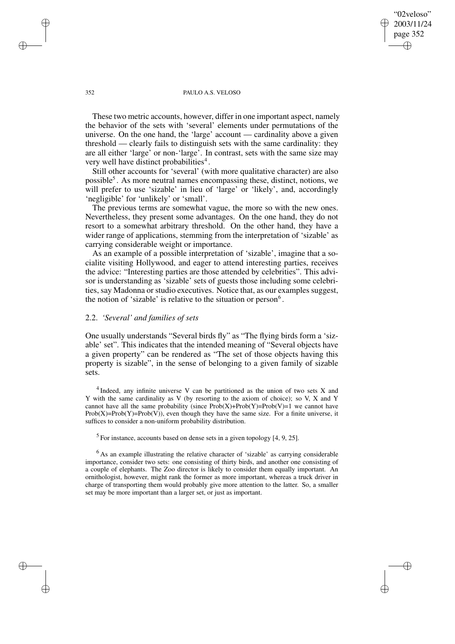352 PAULO A.S. VELOSO

"02veloso" 2003/11/24 page 352

✐

✐

✐

✐

These two metric accounts, however, differ in one important aspect, namely the behavior of the sets with 'several' elements under permutations of the universe. On the one hand, the 'large' account — cardinality above a given threshold — clearly fails to distinguish sets with the same cardinality: they are all either 'large' or non-'large'. In contrast, sets with the same size may very well have distinct probabilities<sup>4</sup>.

Still other accounts for 'several' (with more qualitative character) are also possible<sup>5</sup>. As more neutral names encompassing these, distinct, notions, we will prefer to use 'sizable' in lieu of 'large' or 'likely', and, accordingly 'negligible' for 'unlikely' or 'small'.

The previous terms are somewhat vague, the more so with the new ones. Nevertheless, they present some advantages. On the one hand, they do not resort to a somewhat arbitrary threshold. On the other hand, they have a wider range of applications, stemming from the interpretation of 'sizable' as carrying considerable weight or importance.

As an example of a possible interpretation of 'sizable', imagine that a socialite visiting Hollywood, and eager to attend interesting parties, receives the advice: "Interesting parties are those attended by celebrities". This advisor is understanding as 'sizable' sets of guests those including some celebrities, say Madonna or studio executives. Notice that, as our examples suggest, the notion of 'sizable' is relative to the situation or person<sup>6</sup>.

# 2.2. *'Several' and families of sets*

One usually understands "Several birds fly" as "The flying birds form a 'sizable' set". This indicates that the intended meaning of "Several objects have a given property" can be rendered as "The set of those objects having this property is sizable", in the sense of belonging to a given family of sizable sets.

 $4$ Indeed, any infinite universe V can be partitioned as the union of two sets X and Y with the same cardinality as V (by resorting to the axiom of choice); so V, X and Y cannot have all the same probability (since  $Prob(X) + Prob(Y) = Prob(V) = 1$  we cannot have  $Prob(X)=Prob(Y)=Prob(V)$ , even though they have the same size. For a finite universe, it suffices to consider a non-uniform probability distribution.

 $<sup>5</sup>$  For instance, accounts based on dense sets in a given topology [4, 9, 25].</sup>

 $<sup>6</sup>$ As an example illustrating the relative character of 'sizable' as carrying considerable</sup> importance, consider two sets: one consisting of thirty birds, and another one consisting of a couple of elephants. The Zoo director is likely to consider them equally important. An ornithologist, however, might rank the former as more important, whereas a truck driver in charge of transporting them would probably give more attention to the latter. So, a smaller set may be more important than a larger set, or just as important.

✐

✐

✐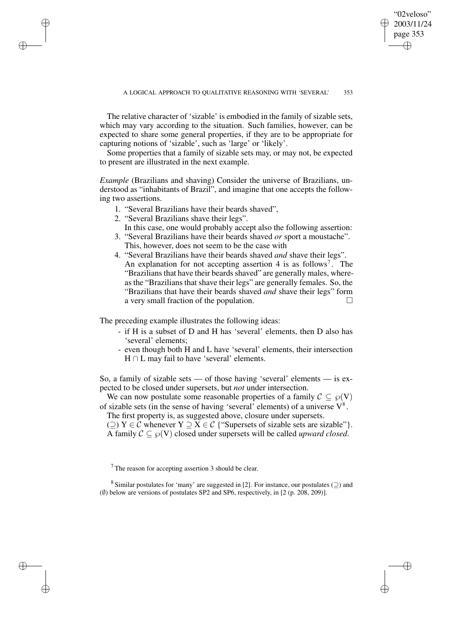"02veloso" 2003/11/24 page 353

✐

✐

✐

✐

The relative character of 'sizable' is embodied in the family of sizable sets, which may vary according to the situation. Such families, however, can be expected to share some general properties, if they are to be appropriate for capturing notions of 'sizable', such as 'large' or 'likely'.

Some properties that a family of sizable sets may, or may not, be expected to present are illustrated in the next example.

*Example* (Brazilians and shaving) Consider the universe of Brazilians, understood as "inhabitants of Brazil", and imagine that one accepts the following two assertions.

- 1. "Several Brazilians have their beards shaved",
- 2. "Several Brazilians shave their legs".

✐

✐

✐

✐

- In this case, one would probably accept also the following assertion: 3. "Several Brazilians have their beards shaved *or* sport a moustache".
- This, however, does not seem to be the case with
- 4. "Several Brazilians have their beards shaved *and* shave their legs". An explanation for not accepting assertion 4 is as follows<sup>7</sup>. The "Brazilians that have their beards shaved" are generally males, whereas the "Brazilians that shave their legs" are generally females. So, the "Brazilians that have their beards shaved *and* shave their legs" form a very small fraction of the population.

The preceding example illustrates the following ideas:

- if H is a subset of D and H has 'several' elements, then D also has 'several' elements;
- even though both H and L have 'several' elements, their intersection  $H \cap L$  may fail to have 'several' elements.

So, a family of sizable sets — of those having 'several' elements — is expected to be closed under supersets, but *not* under intersection.

We can now postulate some reasonable properties of a family  $\mathcal{C} \subseteq \wp(V)$ of sizable sets (in the sense of having 'several' elements) of a universe  $V^8$ .

The first property is, as suggested above, closure under supersets.

(⊇) Y ∈ C whenever Y  $\supseteq$  X ∈ C {"Supersets of sizable sets are sizable"}. A family  $C \subseteq \wp(V)$  closed under supersets will be called *upward closed*.

<sup>7</sup> The reason for accepting assertion 3 should be clear.

 $8$  Similar postulates for 'many' are suggested in [2]. For instance, our postulates ( $\supseteq$ ) and  $(\emptyset)$  below are versions of postulates SP2 and SP6, respectively, in [2 (p. 208, 209)].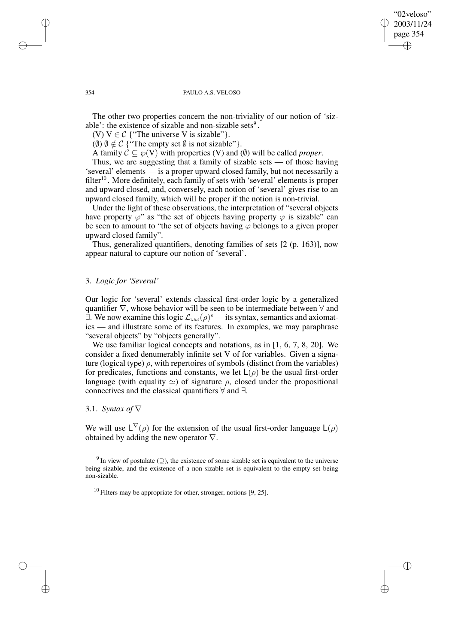### "02veloso" 2003/11/24 page 354 ✐ ✐

✐

✐

#### 354 PAULO A.S. VELOSO

The other two properties concern the non-triviality of our notion of 'sizable': the existence of sizable and non-sizable sets<sup>9</sup>.

(V)  $V \in \mathcal{C}$  {"The universe V is sizable" }.

( $\emptyset$ )  $\emptyset \notin \mathcal{C}$  {"The empty set  $\emptyset$  is not sizable" }.

A family  $C \subseteq \wp(V)$  with properties (V) and ( $\emptyset$ ) will be called *proper*.

Thus, we are suggesting that a family of sizable sets — of those having 'several' elements — is a proper upward closed family, but not necessarily a filter<sup>10</sup>. More definitely, each family of sets with 'several' elements is proper and upward closed, and, conversely, each notion of 'several' gives rise to an upward closed family, which will be proper if the notion is non-trivial.

Under the light of these observations, the interpretation of "several objects have property  $\varphi$ " as "the set of objects having property  $\varphi$  is sizable" can be seen to amount to "the set of objects having  $\varphi$  belongs to a given proper upward closed family".

Thus, generalized quantifiers, denoting families of sets [2 (p. 163)], now appear natural to capture our notion of 'several'.

# 3. *Logic for 'Several'*

Our logic for 'several' extends classical first-order logic by a generalized quantifier  $\nabla$ , whose behavior will be seen to be intermediate between  $\forall$  and  $\exists$ . We now examine this logic  $\mathcal{L}_{\omega\omega}(\rho)^s$  — its syntax, semantics and axiomatics — and illustrate some of its features. In examples, we may paraphrase "several objects" by "objects generally".

We use familiar logical concepts and notations, as in [1, 6, 7, 8, 20]. We consider a fixed denumerably infinite set V of for variables. Given a signature (logical type)  $\rho$ , with repertoires of symbols (distinct from the variables) for predicates, functions and constants, we let  $L(\rho)$  be the usual first-order language (with equality  $\approx$ ) of signature  $\rho$ , closed under the propositional connectives and the classical quantifiers ∀ and ∃.

# 3.1. *Syntax of* ∇

We will use  $L^{\nabla}(\rho)$  for the extension of the usual first-order language  $L(\rho)$ obtained by adding the new operator  $\nabla$ .

<sup>9</sup> In view of postulate ( $\supseteq$ ), the existence of some sizable set is equivalent to the universe being sizable, and the existence of a non-sizable set is equivalent to the empty set being non-sizable.

 $10$  Filters may be appropriate for other, stronger, notions [9, 25].

✐

✐

✐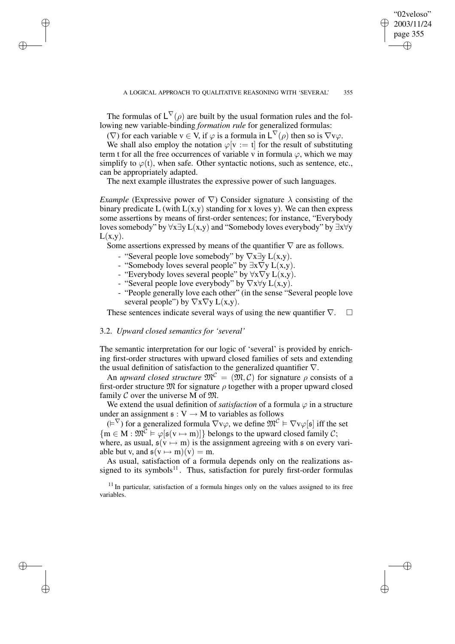✐

The formulas of  $L^{\nabla}(\rho)$  are built by the usual formation rules and the following new variable-binding *formation rule* for generalized formulas:

( $\nabla$ ) for each variable  $v \in V$ , if  $\varphi$  is a formula in  $L^{\nabla}(\rho)$  then so is  $\nabla v\varphi$ .

We shall also employ the notation  $\varphi$ [v := t] for the result of substituting term t for all the free occurrences of variable v in formula  $\varphi$ , which we may simplify to  $\varphi(t)$ , when safe. Other syntactic notions, such as sentence, etc., can be appropriately adapted.

The next example illustrates the expressive power of such languages.

*Example* (Expressive power of  $\nabla$ ) Consider signature  $\lambda$  consisting of the binary predicate L (with  $L(x,y)$  standing for x loves y). We can then express some assertions by means of first-order sentences; for instance, "Everybody loves somebody" by ∀x∃y L(x,y) and "Somebody loves everybody" by ∃x∀y  $L(x,y)$ .

Some assertions expressed by means of the quantifier  $\nabla$  are as follows.

- "Several people love somebody" by  $\nabla x \exists y L(x,y)$ .
- "Somebody loves several people" by  $\exists x \nabla y L(x,y)$ .
- "Everybody loves several people" by  $\forall x \nabla y L(x,y)$ .
- "Several people love everybody" by  $\nabla x \forall y L(x,y)$ .
- "People generally love each other" (in the sense "Several people love several people") by  $\nabla x \nabla y L(x,y)$ .

These sentences indicate several ways of using the new quantifier  $\nabla$ .  $\square$ 

#### 3.2. *Upward closed semantics for 'several'*

✐

✐

✐

✐

The semantic interpretation for our logic of 'several' is provided by enriching first-order structures with upward closed families of sets and extending the usual definition of satisfaction to the generalized quantifier  $\nabla$ .

An *upward closed structure*  $\mathfrak{M}^{\mathcal{C}} = (\mathfrak{M}, \mathcal{C})$  for signature  $\rho$  consists of a first-order structure  $\mathfrak M$  for signature  $\rho$  together with a proper upward closed family C over the universe M of  $\mathfrak{M}$ .

We extend the usual definition of *satisfaction* of a formula  $\varphi$  in a structure under an assignment  $\mathfrak{s}: V \to M$  to variables as follows

 $(E^{\nabla})$  for a generalized formula  $\nabla v\varphi$ , we define  $\mathfrak{M}^{\mathcal{C}} \models \nabla v\varphi[\mathfrak{s}]$  iff the set  ${m \in M : \mathfrak{M}^{\mathcal{C}} \models \varphi[\mathfrak{s}(v \mapsto m)]}$  belongs to the upward closed family  $\mathcal{C}$ ; where, as usual,  $\mathfrak{s}(v \mapsto m)$  is the assignment agreeing with  $\mathfrak{s}$  on every variable but v, and  $\mathfrak{s}(v \mapsto m)(v) = m$ .

As usual, satisfaction of a formula depends only on the realizations assigned to its symbols<sup>11</sup>. Thus, satisfaction for purely first-order formulas

 $11$  In particular, satisfaction of a formula hinges only on the values assigned to its free variables.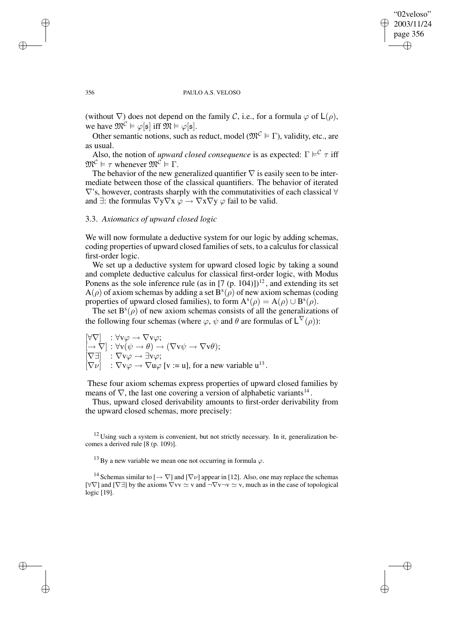✐

#### 356 PAULO A.S. VELOSO

(without  $\nabla$ ) does not depend on the family C, i.e., for a formula  $\varphi$  of  $\mathsf{L}(\rho)$ , we have  $\mathfrak{M}^{\mathcal{C}} \models \varphi[\mathfrak{s}]$  iff  $\mathfrak{M} \models \varphi[\mathfrak{s}]$ .

Other semantic notions, such as reduct, model ( $\mathfrak{M}^{\mathcal{C}} \models \Gamma$ ), validity, etc., are as usual.

Also, the notion of *upward closed consequence* is as expected:  $\Gamma \models^{\mathcal{C}} \tau$  iff  $\mathfrak{M}^{\mathcal{C}} \models \tau$  whenever  $\mathfrak{M}^{\mathcal{C}} \models \Gamma$ .

The behavior of the new generalized quantifier  $\nabla$  is easily seen to be intermediate between those of the classical quantifiers. The behavior of iterated ∇'s, however, contrasts sharply with the commutativities of each classical ∀ and  $\exists$ : the formulas  $\nabla y \nabla x \varphi \rightarrow \nabla x \nabla y \varphi$  fail to be valid.

# 3.3. *Axiomatics of upward closed logic*

We will now formulate a deductive system for our logic by adding schemas, coding properties of upward closed families of sets, to a calculus for classical first-order logic.

We set up a deductive system for upward closed logic by taking a sound and complete deductive calculus for classical first-order logic, with Modus Ponens as the sole inference rule (as in  $[7 (p. 104))]^{12}$ , and extending its set  $A(\rho)$  of axiom schemas by adding a set  $B^{s}(\rho)$  of new axiom schemas (coding properties of upward closed families), to form  $A^{s}(\rho) = A(\rho) \cup B^{s}(\rho)$ .

The set  $B^s(\rho)$  of new axiom schemas consists of all the generalizations of the following four schemas (where  $\varphi$ ,  $\psi$  and  $\theta$  are formulas of  $L^{\nabla}(\rho)$ ):

$$
\begin{array}{l} [\forall \nabla] : \forall \mathbf{v} \varphi \rightarrow \nabla \mathbf{v} \varphi; \\ [\rightarrow \nabla] : \forall \mathbf{v} (\psi \rightarrow \theta) \rightarrow (\nabla \mathbf{v} \psi \rightarrow \nabla \mathbf{v} \theta); \\ [\nabla \exists] : \nabla \mathbf{v} \varphi \rightarrow \exists \mathbf{v} \varphi; \\ [\nabla \nu] : \nabla \mathbf{v} \varphi \rightarrow \nabla \mathbf{u} \varphi \text{ [v := u], for a new variable u}^{13}. \end{array}
$$

These four axiom schemas express properties of upward closed families by means of  $\nabla$ , the last one covering a version of alphabetic variants<sup>14</sup>.

Thus, upward closed derivability amounts to first-order derivability from the upward closed schemas, more precisely:

 $12$  Using such a system is convenient, but not strictly necessary. In it, generalization becomes a derived rule [8 (p. 109)].

<sup>13</sup> By a new variable we mean one not occurring in formula  $\varphi$ .

<sup>14</sup> Schemas similar to  $\left[\rightarrow \nabla\right]$  and  $\left[\nabla \nu\right]$  appear in [12]. Also, one may replace the schemas [ $\forall \nabla$ ] and [ $\nabla \exists$ ] by the axioms  $\nabla v \sim v$  and  $\neg \nabla v \neg v \simeq v$ , much as in the case of topological logic [19].

✐

✐

✐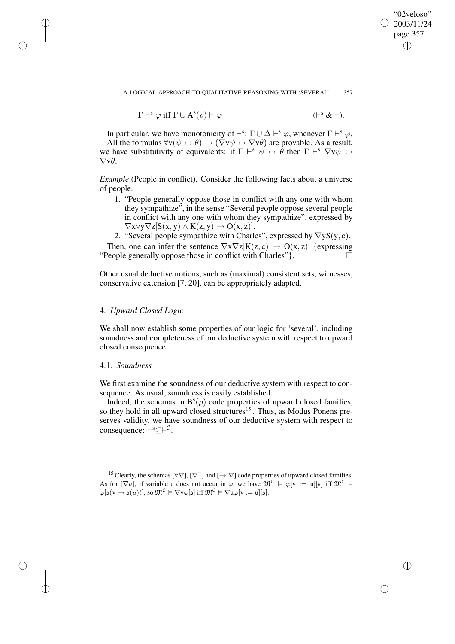✐

$$
\Gamma \vdash^{s} \varphi \text{ iff } \Gamma \cup A^{s}(\rho) \vdash \varphi \qquad (\vdash^{s} \& \vdash).
$$

In particular, we have monotonicity of  $\vdash^s: \Gamma \cup \Delta \vdash^s \varphi$ , whenever  $\Gamma \vdash^s \varphi$ . All the formulas  $\forall v(\psi \leftrightarrow \theta) \rightarrow (\nabla v \psi \leftrightarrow \nabla v \theta)$  are provable. As a result, we have substitutivity of equivalents: if  $\Gamma \vdash^{s} \psi \leftrightarrow \hat{\theta}$  then  $\Gamma \vdash^{s} \nabla v \psi \leftrightarrow$  $\nabla \mathbf{v}\theta$ .

*Example* (People in conflict). Consider the following facts about a universe of people.

- 1. "People generally oppose those in conflict with any one with whom they sympathize", in the sense "Several people oppose several people in conflict with any one with whom they sympathize", expressed by  $\nabla x \forall y \nabla z[S(x, y) \wedge K(z, y) \rightarrow O(x, z)].$
- 2. "Several people sympathize with Charles", expressed by  $\nabla y S(y, c)$ .

Then, one can infer the sentence  $\nabla x \nabla z[K(z, c) \rightarrow O(x, z)]$  {expressing "People generally oppose those in conflict with Charles"  $\Box$ 

Other usual deductive notions, such as (maximal) consistent sets, witnesses, conservative extension [7, 20], can be appropriately adapted.

#### 4. *Upward Closed Logic*

We shall now establish some properties of our logic for 'several', including soundness and completeness of our deductive system with respect to upward closed consequence.

# 4.1. *Soundness*

✐

✐

✐

✐

We first examine the soundness of our deductive system with respect to consequence. As usual, soundness is easily established.

Indeed, the schemas in  $B^{s}(\rho)$  code properties of upward closed families, so they hold in all upward closed structures<sup>15</sup>. Thus, as Modus Ponens preserves validity, we have soundness of our deductive system with respect to consequence:  $\vdash^{s} \subseteq \models^{\mathcal{C}}$ .

<sup>15</sup> Clearly, the schemas  $[\forall \nabla], [\nabla]$  and  $[\rightarrow \nabla]$  code properties of upward closed families. As for  $[\nabla \nu]$ , if variable u does not occur in  $\varphi$ , we have  $\mathfrak{M}^{\mathcal{C}} \models \varphi[v := u][\mathfrak{s}]$  iff  $\mathfrak{M}^{\mathcal{C}} \models$  $\varphi[\mathfrak{s}(v \mapsto \mathfrak{s}(u))],$  so  $\mathfrak{M}^{\mathcal{C}} \models \nabla v\varphi[\mathfrak{s}]$  iff  $\mathfrak{M}^{\mathcal{C}} \models \nabla u\varphi[v := u][\mathfrak{s}].$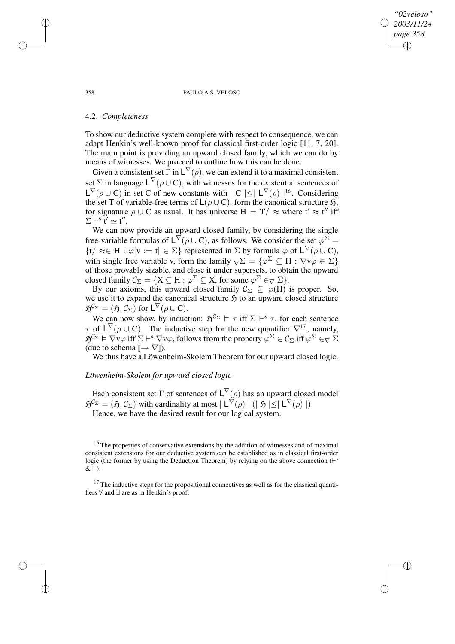358 PAULO A.S. VELOSO

*"02veloso" 2003/11/24 page 358*

✐

✐

✐

✐

# 4.2. *Completeness*

To show our deductive system complete with respect to consequence, we can adapt Henkin's well-known proof for classical first-order logic [11, 7, 20]. The main point is providing an upward closed family, which we can do by means of witnesses. We proceed to outline how this can be done.

Given a consistent set  $\overline{\Gamma}$  in  $\mathsf{L}^\nabla(\rho)$ , we can extend it to a maximal consistent set  $\Sigma$  in language  $L^{\nabla}(\rho \cup C)$ , with witnesses for the existential sentences of  $L^{\nabla}(\rho \cup C)$  in set C of new constants with  $|C| \leq |L^{\nabla}(\rho)|^{16}$ . Considering the set T of variable-free terms of  $L(\rho \cup C)$ , form the canonical structure  $\mathfrak{H}$ , for signature  $\rho \cup C$  as usual. It has universe  $H = T / \approx$  where  $t' \approx t''$  iff  $\Sigma \vdash^s \check{\mathsf{t}}' \simeq \mathsf{t}''$ .

We can now provide an upward closed family, by considering the single free-variable formulas of  $L^{\nabla}(\rho \cup C)$ , as follows. We consider the set  $\varphi^{\Sigma}$  =  $\{t/\approx\in H : \varphi|v:=t\} \in \Sigma\}$  represented in  $\Sigma$  by formula  $\varphi$  of  $L^{\nabla}(\rho \cup C)$ , with single free variable v, form the family  $\nabla \Sigma = {\varphi^{\Sigma} \subseteq H : \nabla \nu \varphi \in \Sigma}$ of those provably sizable, and close it under supersets, to obtain the upward closed family  $\mathcal{C}_{\Sigma} = \{ X \subseteq H : \varphi^{\Sigma} \subseteq X \text{, for some } \varphi^{\Sigma} \in_{\nabla} \Sigma \}.$ 

By our axioms, this upward closed family  $\mathcal{C}_{\Sigma} \subseteq \wp(H)$  is proper. So, we use it to expand the canonical structure  $\mathfrak H$  to an upward closed structure  $\mathfrak{H}^{\mathcal{C}_{\Sigma}} = (\mathfrak{H}, \mathcal{C}_{\Sigma}) \text{ for } \mathsf{L}^{\nabla}(\rho \cup \mathbf{C}).$ 

We can now show, by induction:  $\mathfrak{H}^{\mathcal{C}_{\Sigma}} \models \tau$  iff  $\Sigma \vdash^s \tau$ , for each sentence  $\tau$  of  $L^{\nabla}(\rho \cup C)$ . The inductive step for the new quantifier  $\nabla^{17}$ , namely,  $\mathfrak{H}^{\mathcal{C}_{\Sigma}} \models \nabla v\varphi$  iff  $\Sigma \vdash^s \nabla v\varphi$ , follows from the property  $\varphi^{\Sigma} \in \mathcal{C}_{\Sigma}$  iff  $\varphi^{\Sigma} \in_{\nabla} \Sigma$ (due to schema  $[\rightarrow \nabla]$ ).

We thus have a Löwenheim-Skolem Theorem for our upward closed logic.

# *Löwenheim-Skolem for upward closed logic*

Each consistent set  $\Gamma$  of sentences of  $\mathsf{L}^{\nabla}(\rho)$  has an upward closed model  $\mathfrak{H}^{\mathcal{C}_{\Sigma}} = (\mathfrak{H}, \mathcal{C}_{\Sigma})$  with cardinality at most  $| L^{\nabla}(\rho) | (|\mathfrak{H}| \leq | L^{\nabla}(\rho)|).$ 

Hence, we have the desired result for our logical system.

<sup>16</sup> The properties of conservative extensions by the addition of witnesses and of maximal consistent extensions for our deductive system can be established as in classical first-order logic (the former by using the Deduction Theorem) by relying on the above connection  $($  $\vdash$ <sup>s</sup>  $& \rightarrow$ .

 $17$  The inductive steps for the propositional connectives as well as for the classical quantifiers ∀ and ∃ are as in Henkin's proof.

✐

✐

✐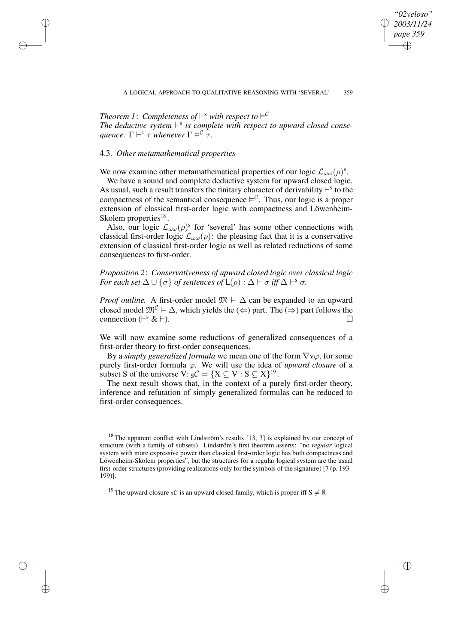*"02veloso" 2003/11/24 page 359*

✐

✐

✐

✐

Theorem 1: Completeness of  $\vdash^{\text{s}}$  with respect to  $\vdash^\mathcal{C}$ *The deductive system*  $\vdash^s$  *is complete with respect to upward closed conse-* $\alpha$  *quence:*  $\Gamma \vdash^s \tau$  *whenever*  $\Gamma \models^{\mathcal{C}} \tau$ .

# 4.3. *Other metamathematical properties*

✐

✐

✐

✐

We now examine other metamathematical properties of our logic  $\mathcal{L}_{\omega\omega}(\rho)^s$ .

We have a sound and complete deductive system for upward closed logic. As usual, such a result transfers the finitary character of derivability  $\vdash^s$  to the compactness of the semantical consequence  $\models^{\mathcal{C}}$ . Thus, our logic is a proper extension of classical first-order logic with compactness and Löwenheim-Skolem properties $^{18}$ .

Also, our logic  $\mathcal{L}_{\omega\omega}(\rho)$ <sup>s</sup> for 'several' has some other connections with classical first-order logic  $\mathcal{L}_{\omega\omega}(\rho)$ : the pleasing fact that it is a conservative extension of classical first-order logic as well as related reductions of some consequences to first-order.

*Proposition 2*: *Conservativeness of upward closed logic over classical logic For each set*  $\Delta \cup \{\sigma\}$  *of sentences of*  $\mathsf{L}(\rho)$  :  $\Delta \vdash \sigma$  *iff*  $\Delta \vdash^s \sigma$ .

*Proof outline.* A first-order model  $\mathfrak{M} \models \Delta$  can be expanded to an upward closed model  $\mathfrak{M}^{\mathcal{C}} \models \Delta$ , which yields the  $(\Leftarrow)$  part. The  $(\Rightarrow)$  part follows the connection  $(F^s \& F)$ .  $s \& +$ ).

We will now examine some reductions of generalized consequences of a first-order theory to first-order consequences.

By a *simply generalized formula* we mean one of the form ∇vϕ, for some purely first-order formula  $\varphi$ . We will use the idea of *upward closure* of a subset S of the universe V:  ${}_{\mathcal{S}}\mathcal{C} = \{X \subseteq V : S \subseteq X\}^{19}$ .

The next result shows that, in the context of a purely first-order theory, inference and refutation of simply generalized formulas can be reduced to first-order consequences.

<sup>&</sup>lt;sup>18</sup> The apparent conflict with Lindström's results [13, 3] is explained by our concept of structure (with a family of subsets). Lindström's first theorem asserts: "no *regular* logical system with more expressive power than classical first-order logic has both compactness and Löwenheim-Skolem properties", but the structures for a regular logical system are the usual first-order structures (providing realizations only for the symbols of the signature) [7 (p. 193– 199)].

<sup>&</sup>lt;sup>19</sup> The upward closure sC is an upward closed family, which is proper iff  $S \neq \emptyset$ .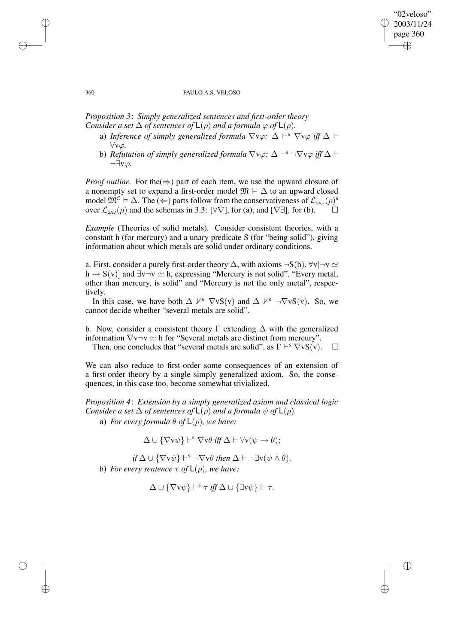### "02veloso" 2003/11/24 page 360 ✐ ✐

✐

✐

#### 360 PAULO A.S. VELOSO

*Proposition 3*: *Simply generalized sentences and first-order theory Consider a set*  $\Delta$  *of sentences of*  $\mathsf{L}(\rho)$  *and a formula*  $\varphi$  *of*  $\mathsf{L}(\rho)$ *.* 

- a) *Inference of simply generalized formula*  $\nabla \nu \varphi$ :  $\Delta \vdash^s \nabla \nu \varphi$  *iff*  $\Delta \vdash$ ∀vϕ*.*
- b) *Refutation of simply generalized formula*  $\nabla \nu \varphi$ :  $\Delta \vdash^s \neg \nabla \nu \varphi$  *iff*  $\Delta \vdash$ ¬∃vϕ*.*

*Proof outline.* For the  $(\Rightarrow)$  part of each item, we use the upward closure of a nonempty set to expand a first-order model  $\mathfrak{M} \models \Delta$  to an upward closed model  $\mathfrak{M}^{\mathcal{C}} \models \Delta$ . The  $\leftrightarrow$  parts follow from the conservativeness of  $\mathcal{L}_{\omega\omega}(\rho)^s$ over  $\mathcal{L}_{\omega\omega}(\rho)$  and the schemas in 3.3: [ $\forall \nabla$ ], for (a), and [ $\nabla \exists$ ], for (b).

*Example* (Theories of solid metals). Consider consistent theories, with a constant h (for mercury) and a unary predicate S (for "being solid"), giving information about which metals are solid under ordinary conditions.

a. First, consider a purely first-order theory  $\Delta$ , with axioms  $\neg S(h)$ ,  $\forall v$ [ $\neg v \simeq$  $h \rightarrow S(v)$ ] and  $\exists v \neg v \simeq h$ , expressing "Mercury is not solid", "Every metal, other than mercury, is solid" and "Mercury is not the only metal", respectively.

In this case, we have both  $\Delta \nvDash^{s} \nabla vS(v)$  and  $\Delta \nvDash^{s} \neg \nabla vS(v)$ . So, we cannot decide whether "several metals are solid".

b. Now, consider a consistent theory  $\Gamma$  extending  $\Delta$  with the generalized information  $\nabla v \neg v \simeq h$  for "Several metals are distinct from mercury".

Then, one concludes that "several metals are solid", as  $\Gamma \vdash^s \nabla v S(v)$ .  $\Box$ 

We can also reduce to first-order some consequences of an extension of a first-order theory by a single simply generalized axiom. So, the consequences, in this case too, become somewhat trivialized.

*Proposition 4*: *Extension by a simply generalized axiom and classical logic Consider a set*  $\Delta$  *of sentences of*  $\mathsf{L}(\rho)$  *and a formula*  $\psi$  *of*  $\mathsf{L}(\rho)$ *.* 

a) *For every formula*  $\theta$  *of*  $\mathsf{L}(\rho)$ *, we have:* 

$$
\Delta \cup \{\nabla v \psi\} \vdash^s \nabla v \theta \text{ iff } \Delta \vdash \forall v(\psi \to \theta);
$$

 $if \Delta \cup {\nabla}{\rm v}\psi\} \vdash^s \neg \nabla{\rm v}\theta$  *then*  $\Delta \vdash \neg \exists {\rm v}(\psi \land \theta)$ . **b**) *For every sentence*  $\tau$  *of*  $\mathsf{L}(\rho)$ *, we have:* 

$$
\Delta \cup \{\nabla v \psi\} \vdash^s \tau \text{ iff } \Delta \cup \{\exists v \psi\} \vdash \tau.
$$

✐

✐

✐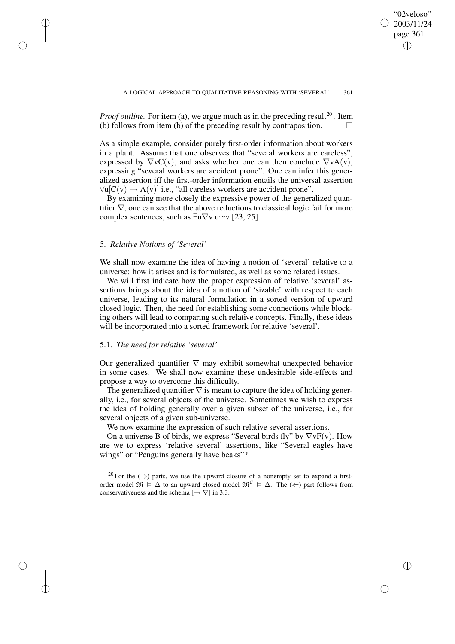✐

*Proof outline.* For item (a), we argue much as in the preceding result<sup>20</sup>. Item (b) follows from item (b) of the preceding result by contraposition.  $\Box$ 

As a simple example, consider purely first-order information about workers in a plant. Assume that one observes that "several workers are careless", expressed by  $\nabla vC(v)$ , and asks whether one can then conclude  $\nabla vA(v)$ , expressing "several workers are accident prone". One can infer this generalized assertion iff the first-order information entails the universal assertion  $\forall u[C(v) \rightarrow A(v)]$  i.e., "all careless workers are accident prone".

By examining more closely the expressive power of the generalized quantifier  $\nabla$ , one can see that the above reductions to classical logic fail for more complex sentences, such as  $\exists u \nabla v \ u \simeq v$  [23, 25].

### 5. *Relative Notions of 'Several'*

✐

✐

✐

✐

We shall now examine the idea of having a notion of 'several' relative to a universe: how it arises and is formulated, as well as some related issues.

We will first indicate how the proper expression of relative 'several' assertions brings about the idea of a notion of 'sizable' with respect to each universe, leading to its natural formulation in a sorted version of upward closed logic. Then, the need for establishing some connections while blocking others will lead to comparing such relative concepts. Finally, these ideas will be incorporated into a sorted framework for relative 'several'.

#### 5.1. *The need for relative 'several'*

Our generalized quantifier  $\nabla$  may exhibit somewhat unexpected behavior in some cases. We shall now examine these undesirable side-effects and propose a way to overcome this difficulty.

The generalized quantifier  $\nabla$  is meant to capture the idea of holding generally, i.e., for several objects of the universe. Sometimes we wish to express the idea of holding generally over a given subset of the universe, i.e., for several objects of a given sub-universe.

We now examine the expression of such relative several assertions.

On a universe B of birds, we express "Several birds fly" by  $\nabla v F(v)$ . How are we to express 'relative several' assertions, like "Several eagles have wings" or "Penguins generally have beaks"?

<sup>20</sup> For the ( $\Rightarrow$ ) parts, we use the upward closure of a nonempty set to expand a firstorder model  $\mathfrak{M} \models \Delta$  to an upward closed model  $\mathfrak{M}^{\mathcal{C}} \models \Delta$ . The  $(\Leftarrow)$  part follows from conservativeness and the schema  $[\rightarrow \nabla]$  in 3.3.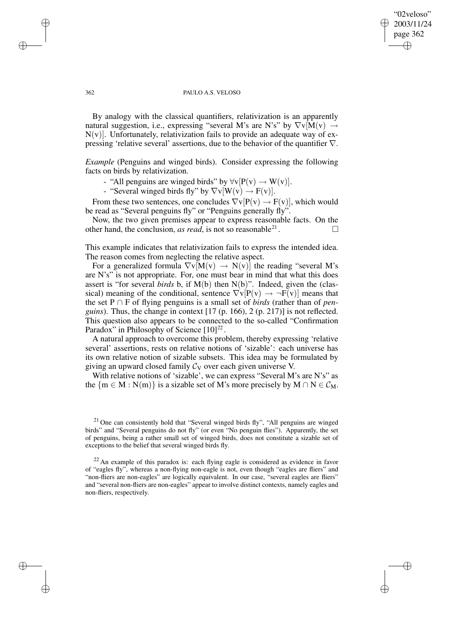### "02veloso" 2003/11/24 page 362 ✐ ✐

✐

✐

#### 362 PAULO A.S. VELOSO

By analogy with the classical quantifiers, relativization is an apparently natural suggestion, i.e., expressing "several M's are N's" by  $\nabla v \overline{M}(v) \rightarrow$  $N(v)$ ]. Unfortunately, relativization fails to provide an adequate way of expressing 'relative several' assertions, due to the behavior of the quantifier  $\nabla$ .

*Example* (Penguins and winged birds). Consider expressing the following facts on birds by relativization.

- "All penguins are winged birds" by  $\forall v[P(v) \rightarrow W(v)]$ .
- "Several winged birds fly" by  $\nabla v[W(v) \rightarrow F(v)]$ .

From these two sentences, one concludes  $\nabla v[P(v) \rightarrow F(v)]$ , which would be read as "Several penguins fly" or "Penguins generally fly".

Now, the two given premises appear to express reasonable facts. On the other hand, the conclusion, *as read*, is not so reasonable<sup>21</sup>. . — П

This example indicates that relativization fails to express the intended idea. The reason comes from neglecting the relative aspect.

For a generalized formula  $\nabla v[M(v) \rightarrow N(v)]$  the reading "several M's are N's" is not appropriate. For, one must bear in mind that what this does assert is "for several *birds* b, if M(b) then N(b)". Indeed, given the (classical) meaning of the conditional, sentence  $\nabla v[P(v) \rightarrow \neg F(v)]$  means that the set P ∩ F of flying penguins is a small set of *birds* (rather than of *penguins*). Thus, the change in context [17 (p. 166), 2 (p. 217)] is not reflected. This question also appears to be connected to the so-called "Confirmation Paradox" in Philosophy of Science  $[10]^{22}$ .

A natural approach to overcome this problem, thereby expressing 'relative several' assertions, rests on relative notions of 'sizable': each universe has its own relative notion of sizable subsets. This idea may be formulated by giving an upward closed family  $C_V$  over each given universe V.

With relative notions of 'sizable', we can express "Several M's are N's" as the  ${m \in M : N(m)}$  is a sizable set of M's more precisely by  $M \cap N \in \mathcal{C}_M$ .

✐

✐

✐

<sup>&</sup>lt;sup>21</sup> One can consistently hold that "Several winged birds fly", "All penguins are winged birds" and "Several penguins do not fly" (or even "No penguin flies"). Apparently, the set of penguins, being a rather small set of winged birds, does not constitute a sizable set of exceptions to the belief that several winged birds fly.

 $22$  An example of this paradox is: each flying eagle is considered as evidence in favor of "eagles fly", whereas a non-flying non-eagle is not, even though "eagles are fliers" and "non-fliers are non-eagles" are logically equivalent. In our case, "several eagles are fliers" and "several non-fliers are non-eagles" appear to involve distinct contexts, namely eagles and non-fliers, respectively.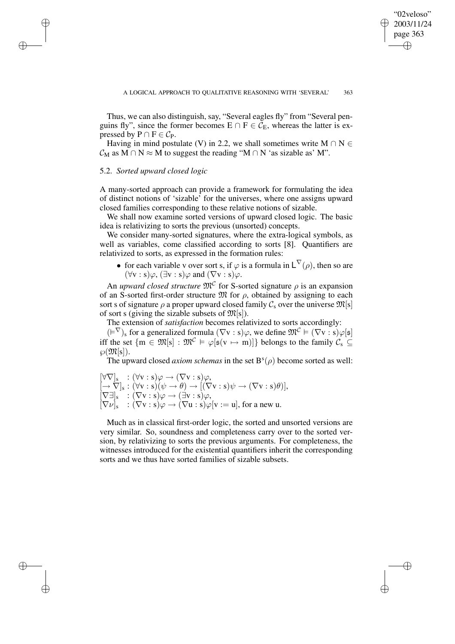✐

Thus, we can also distinguish, say, "Several eagles fly" from "Several penguins fly", since the former becomes  $E \cap F \in C_E$ , whereas the latter is expressed by  $P \cap F \in C_P$ .

Having in mind postulate (V) in 2.2, we shall sometimes write M  $\cap$  N  $\in$  $C_M$  as M ∩ N  $\approx$  M to suggest the reading "M ∩ N 'as sizable as' M".

# 5.2. *Sorted upward closed logic*

✐

✐

✐

✐

A many-sorted approach can provide a framework for formulating the idea of distinct notions of 'sizable' for the universes, where one assigns upward closed families corresponding to these relative notions of sizable.

We shall now examine sorted versions of upward closed logic. The basic idea is relativizing to sorts the previous (unsorted) concepts.

We consider many-sorted signatures, where the extra-logical symbols, as well as variables, come classified according to sorts [8]. Quantifiers are relativized to sorts, as expressed in the formation rules:

• for each variable v over sort s, if  $\varphi$  is a formula in  $L^{\nabla}(\rho)$ , then so are  $(\forall v : s) \varphi$ ,  $(\exists v : s) \varphi$  and  $(\nabla v : s) \varphi$ .

An *upward closed structure*  $\mathfrak{M}^{\mathcal{C}}$  for S-sorted signature  $\rho$  is an expansion of an S-sorted first-order structure  $\mathfrak{M}$  for  $\rho$ , obtained by assigning to each sort s of signature  $\rho$  a proper upward closed family  $C_s$  over the universe  $\mathfrak{M}[s]$ of sort s (giving the sizable subsets of  $\mathfrak{M}[s]$ ).

The extension of *satisfaction* becomes relativized to sorts accordingly:

 $(\models^{\nabla})_s$  for a generalized formula  $(\nabla v : s)\varphi$ , we define  $\mathfrak{M}^{\mathcal{C}} \models (\nabla v : s)\varphi[s]$ iff the set  $\{m \in \mathfrak{M}[s] : \mathfrak{M}^{\mathcal{C}} \models \varphi[\mathfrak{s}(v \mapsto m)]\}$  belongs to the family  $\mathcal{C}_s \subseteq$  $\wp(\mathfrak{M}[s]).$ 

The upward closed *axiom schemas* in the set  $B<sup>s</sup>(\rho)$  become sorted as well:

 $[\forall \nabla]_{\text{s}} \; : (\forall \text{v} : \text{s}) \varphi \rightarrow (\nabla \text{v} : \text{s}) \varphi,$  $\left[ \rightarrow \nabla \right]_{\text{s}}: (\forall \text{v}: \text{s})(\psi \rightarrow \theta) \rightarrow [(\nabla \text{v}: \text{s})\psi \rightarrow (\nabla \text{v}: \text{s})\theta)],$  $[\nabla \exists]_s : (\nabla v : s) \varphi \rightarrow (\exists v : s) \varphi,$  $[\nabla \nu]_{\rm s}$  :  $(\nabla \nu : {\rm s})\varphi \rightarrow (\nabla {\rm u} : {\rm s})\varphi [{\rm v} := {\rm u}]$ , for a new u.

Much as in classical first-order logic, the sorted and unsorted versions are very similar. So, soundness and completeness carry over to the sorted version, by relativizing to sorts the previous arguments. For completeness, the witnesses introduced for the existential quantifiers inherit the corresponding sorts and we thus have sorted families of sizable subsets.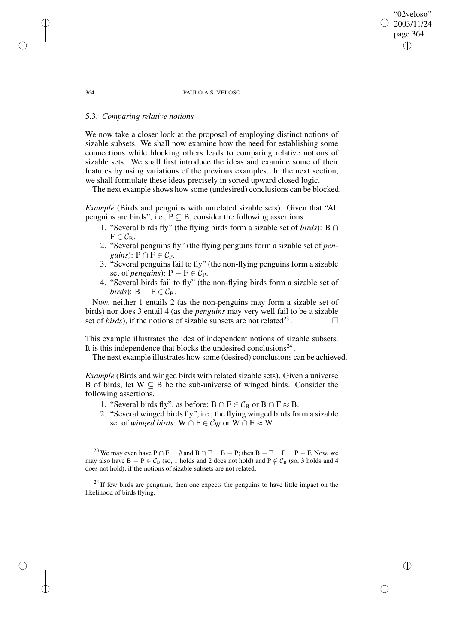#### 364 PAULO A.S. VELOSO

"02veloso" 2003/11/24 page 364

✐

✐

✐

✐

### 5.3. *Comparing relative notions*

We now take a closer look at the proposal of employing distinct notions of sizable subsets. We shall now examine how the need for establishing some connections while blocking others leads to comparing relative notions of sizable sets. We shall first introduce the ideas and examine some of their features by using variations of the previous examples. In the next section, we shall formulate these ideas precisely in sorted upward closed logic.

The next example shows how some (undesired) conclusions can be blocked.

*Example* (Birds and penguins with unrelated sizable sets). Given that "All penguins are birds", i.e.,  $P \subseteq B$ , consider the following assertions.

- 1. "Several birds fly" (the flying birds form a sizable set of *birds*): B ∩  $F \in \mathcal{C}_B$ .
- 2. "Several penguins fly" (the flying penguins form a sizable set of *penguins*):  $P \cap F \in C_P$ .
- 3. "Several penguins fail to fly" (the non-flying penguins form a sizable set of *penguins*):  $P - F \in C_P$ .
- 4. "Several birds fail to fly" (the non-flying birds form a sizable set of *birds*):  $B - F \in C_B$ .

Now, neither 1 entails 2 (as the non-penguins may form a sizable set of birds) nor does 3 entail 4 (as the *penguins* may very well fail to be a sizable set of *birds*), if the notions of sizable subsets are not related<sup>23</sup>. . — П

This example illustrates the idea of independent notions of sizable subsets. It is this independence that blocks the undesired conclusions $^{24}$ .

The next example illustrates how some (desired) conclusions can be achieved.

*Example* (Birds and winged birds with related sizable sets). Given a universe B of birds, let  $W \subseteq B$  be the sub-universe of winged birds. Consider the following assertions.

- 1. "Several birds fly", as before:  $B \cap F \in C_B$  or  $B \cap F \approx B$ .
- 2. "Several winged birds fly", i.e., the flying winged birds form a sizable set of *winged birds*: W  $\cap$  F  $\in$   $\mathcal{C}_W$  or W  $\cap$  F  $\approx$  W.

<sup>23</sup> We may even have  $P \cap F = \emptyset$  and  $B \cap F = B - P$ ; then  $B - F = P = P - F$ . Now, we may also have  $B - P \in C_B$  (so, 1 holds and 2 does not hold) and  $P \notin C_B$  (so, 3 holds and 4 does not hold), if the notions of sizable subsets are not related.

 $24$  If few birds are penguins, then one expects the penguins to have little impact on the likelihood of birds flying.

✐

✐

✐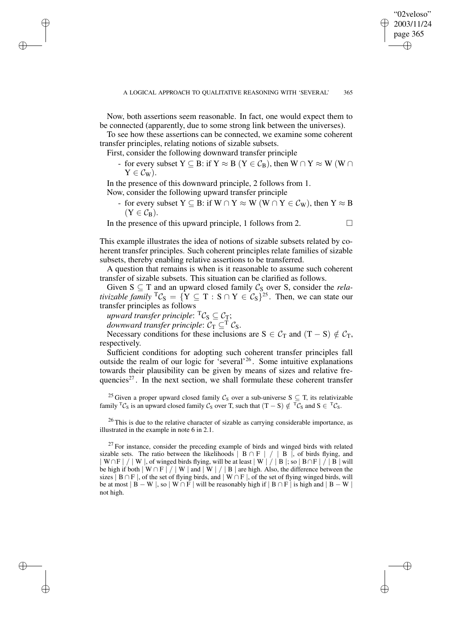✐

Now, both assertions seem reasonable. In fact, one would expect them to be connected (apparently, due to some strong link between the universes).

To see how these assertions can be connected, we examine some coherent transfer principles, relating notions of sizable subsets.

First, consider the following downward transfer principle

✐

✐

✐

✐

- for every subset Y  $\subseteq$  B: if Y  $\approx$  B (Y  $\in$   $\mathcal{C}_{\text{B}}$ ), then W  $\cap$  Y  $\approx$  W (W  $\cap$  $Y \in C_W$ ).

In the presence of this downward principle, 2 follows from 1.

Now, consider the following upward transfer principle

- for every subset  $Y \subseteq B$ : if  $W \cap Y \approx W$  ( $W \cap Y \in C_W$ ), then  $Y \approx B$  $(Y \in C_{\mathbf{B}}).$ 

In the presence of this upward principle, 1 follows from 2.  $\Box$ 

This example illustrates the idea of notions of sizable subsets related by coherent transfer principles. Such coherent principles relate families of sizable subsets, thereby enabling relative assertions to be transferred.

A question that remains is when is it reasonable to assume such coherent transfer of sizable subsets. This situation can be clarified as follows.

Given  $S \subseteq T$  and an upward closed family  $C_S$  over S, consider the *relativizable family*  ${}^{T}C_{S} = \{ Y \subseteq T : S \cap Y \in C_{S} \}^{25}$ . Then, we can state our transfer principles as follows

 $u$ pward *transfer principle*:  ${}^{T}\mathcal{C}_{\mathrm{S}}\subseteq\mathcal{C}_{\mathrm{T}};$ 

*downward transfer principle:*  $C_T \subseteq T C_S$ .

Necessary conditions for these inclusions are  $S \in C_T$  and  $(T - S) \notin C_T$ , respectively.

Sufficient conditions for adopting such coherent transfer principles fall outside the realm of our logic for 'several'<sup>26</sup>. Some intuitive explanations towards their plausibility can be given by means of sizes and relative frequencies<sup>27</sup>. In the next section, we shall formulate these coherent transfer

<sup>25</sup> Given a proper upward closed family  $C_S$  over a sub-universe S  $\subseteq$  T, its relativizable family <sup>T</sup>C<sub>S</sub> is an upward closed family C<sub>S</sub> over T, such that  $(T - S) \notin {}^{T}C_{S}$  and  $S \in {}^{T}C_{S}$ .

 $26$  This is due to the relative character of sizable as carrying considerable importance, as illustrated in the example in note 6 in 2.1.

 $27$  For instance, consider the preceding example of birds and winged birds with related sizable sets. The ratio between the likelihoods  $| B \cap F | / | B |$ , of birds flying, and  $|W\cap F| / |W|$ , of winged birds flying, will be at least  $|W| / |B|$ ; so  $|B\cap F| / |B|$  will be high if both  $|W \cap F| / |W|$  and  $|W| / |B|$  are high. Also, the difference between the sizes  $\overline{B} \cap F$ , of the set of flying birds, and  $\overline{W} \cap F$ , of the set of flying winged birds, will be at most  $| B - W |$ , so  $| W \cap F |$  will be reasonably high if  $| B \cap F |$  is high and  $| B - W |$ not high.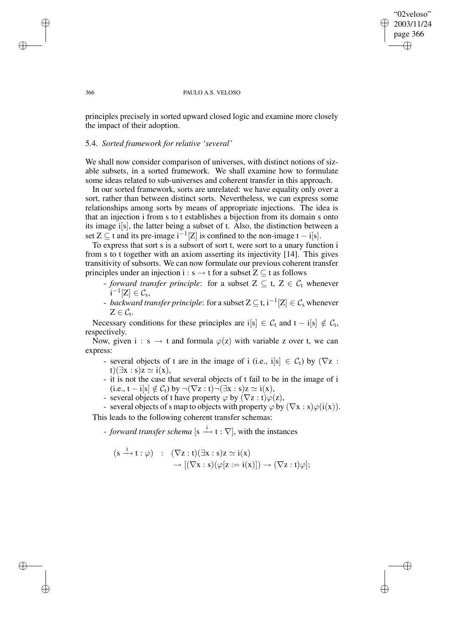### "02veloso" 2003/11/24 page 366 ✐ ✐

✐

✐

#### 366 PAULO A.S. VELOSO

principles precisely in sorted upward closed logic and examine more closely the impact of their adoption.

# 5.4. *Sorted framework for relative 'several'*

We shall now consider comparison of universes, with distinct notions of sizable subsets, in a sorted framework. We shall examine how to formulate some ideas related to sub-universes and coherent transfer in this approach.

In our sorted framework, sorts are unrelated: we have equality only over a sort, rather than between distinct sorts. Nevertheless, we can express some relationships among sorts by means of appropriate injections. The idea is that an injection i from s to t establishes a bijection from its domain s onto its image i[s], the latter being a subset of t. Also, the distinction between a set  $Z \subseteq$  t and its pre-image  $i^{-1}[Z]$  is confined to the non-image  $t - i[s]$ .

To express that sort s is a subsort of sort t, were sort to a unary function i from s to t together with an axiom asserting its injectivity [14]. This gives transitivity of subsorts. We can now formulate our previous coherent transfer principles under an injection i : s  $\rightarrow$  t for a subset Z  $\subseteq$  t as follows

- *forward transfer principle*: for a subset  $Z \subseteq t$ ,  $Z \in C_t$  whenever  $i^{-1}[Z] \in \mathcal{C}_s,$
- *backward transfer principle*: for a subset  $Z \subseteq t$ ,  $i^{-1}[Z] \in C_s$  whenever  $Z \in \mathcal{C}_{t}.$

Necessary conditions for these principles are  $i[s] \in C_t$  and  $t - i[s] \notin C_t$ , respectively.

Now, given i : s  $\rightarrow$  t and formula  $\varphi(z)$  with variable z over t, we can express:

- several objects of t are in the image of i (i.e., i[s]  $\in C_t$ ) by ( $\nabla z$ : t)( $\exists x : s$ ) $z \simeq i(x)$ ,
- it is not the case that several objects of t fail to be in the image of i  $(i.e., t - i[s] \notin C_t)$  by  $\neg(\nabla z : t) \neg (\exists x : s) z \simeq i(x),$
- several objects of t have property  $\varphi$  by  $(\nabla z : t) \varphi(z)$ ,
- several objects of s map to objects with property  $\varphi$  by  $(\nabla x : s)\varphi(i(x))$ .

This leads to the following coherent transfer schemas:

- *forward transfer schema* [s  $\stackrel{i}{\longrightarrow}$  t :  $\nabla$ ], with the instances

$$
\begin{array}{rcl} (s \xrightarrow{i} t : \varphi) & : & (\nabla z : t)(\exists x : s)z \simeq i(x) \\ & & \to [(\nabla x : s)(\varphi[z := i(x)]) \to (\nabla z : t)\varphi]; \end{array}
$$

✐

✐

✐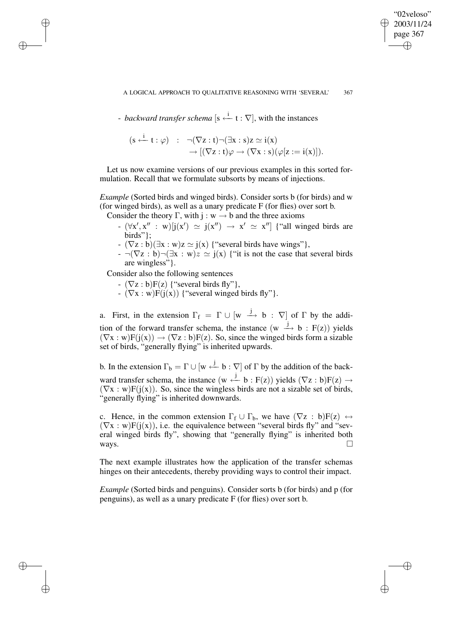✐

- *backward transfer schema* [s <sup>i</sup> ←− t : ∇], with the instances

$$
\begin{array}{rcl} (s \stackrel{i}{\leftarrow} t : \varphi) & : & \neg(\nabla z : t) \neg (\exists x : s) z \simeq i(x) \\ & \longrightarrow [(\nabla z : t) \varphi \rightarrow (\nabla x : s) (\varphi [z := i(x)]). \end{array}
$$

Let us now examine versions of our previous examples in this sorted formulation. Recall that we formulate subsorts by means of injections.

*Example* (Sorted birds and winged birds). Consider sorts b (for birds) and w (for winged birds), as well as a unary predicate F (for flies) over sort b.

Consider the theory Γ, with j : w  $\rightarrow$  b and the three axioms

- $(\forall x', x'': w)[j(x') \simeq j(x'') \rightarrow x' \simeq x'']$  {"all winged birds are birds"};
- $-(\nabla z : b)(\exists x : w)z \simeq j(x)$  {"several birds have wings"},
- $\neg(\nabla z : b)\neg(\exists x : w)z \simeq j(x)$  {"it is not the case that several birds" are wingless"}.

Consider also the following sentences

✐

✐

✐

✐

- $(\nabla z : b)F(z)$  {"several birds fly"},
- $-(\nabla x : w)F(j(x))$  { "several winged birds fly" }.

a. First, in the extension  $\Gamma_f = \Gamma \cup [w \stackrel{j}{\longrightarrow} b : \nabla]$  of  $\Gamma$  by the addition of the forward transfer schema, the instance  $(w \rightarrow b : F(z))$  yields  $(\nabla x : w)F(j(x)) \rightarrow (\nabla z : b)F(z)$ . So, since the winged birds form a sizable set of birds, "generally flying" is inherited upwards.

b. In the extension  $\Gamma_b = \Gamma \cup [w \stackrel{j}{\leftarrow} b : \nabla]$  of  $\Gamma$  by the addition of the backward transfer schema, the instance  $(w \stackrel{j}{\leftarrow} b : F(z))$  yields  $(\nabla z : b)F(z) \rightarrow$  $(\nabla x : w) F(j(x))$ . So, since the wingless birds are not a sizable set of birds, "generally flying" is inherited downwards.

c. Hence, in the common extension  $\Gamma_f \cup \Gamma_b$ , we have  $(\nabla z : b)F(z) \leftrightarrow$  $(\nabla x : w)F(j(x))$ , i.e. the equivalence between "several birds fly" and "several winged birds fly", showing that "generally flying" is inherited both ways.  $\square$ 

The next example illustrates how the application of the transfer schemas hinges on their antecedents, thereby providing ways to control their impact.

*Example* (Sorted birds and penguins). Consider sorts b (for birds) and p (for penguins), as well as a unary predicate F (for flies) over sort b.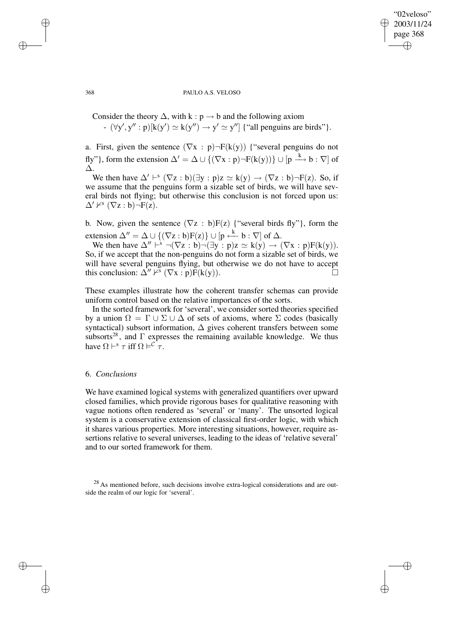### "02veloso" 2003/11/24 page 368 ✐ ✐

✐

✐

#### 368 PAULO A.S. VELOSO

Consider the theory  $\Delta$ , with k : p  $\rightarrow$  b and the following axiom -  $(\forall y', y'': p)[k(y') \simeq k(y'') \rightarrow y' \simeq y'']$  {"all penguins are birds"}.

a. First, given the sentence  $(\nabla x : p) \neg F(k(y))$  {"several penguins do not fly"}, form the extension  $\Delta' = \Delta \cup \{(\nabla x : p) \neg F(k(y))\} \cup [p \stackrel{k}{\longrightarrow} b : \nabla]$  of ∆.

We then have  $\Delta' \vdash^s (\nabla z : b)(\exists y : p)z \simeq k(y) \rightarrow (\nabla z : b)\neg F(z)$ . So, if we assume that the penguins form a sizable set of birds, we will have several birds not flying; but otherwise this conclusion is not forced upon us:  $\Delta' \nvDash^s (\nabla z : b) \neg F(z).$ 

b. Now, given the sentence  $(\nabla z : b)F(z)$  {"several birds fly"}, form the extension  $\Delta'' = \Delta \cup \{(\nabla z : b)F(z)\} \cup [p \stackrel{k}{\leftarrow} b : \nabla]$  of  $\Delta$ .

We then have  $\Delta'' \mapsto \neg(\nabla z : b) \neg(\exists y : p) z \simeq k(y) \rightarrow (\nabla x : p)F(k(y)).$ So, if we accept that the non-penguins do not form a sizable set of birds, we will have several penguins flying, but otherwise we do not have to accept this conclusion:  $\Delta'' \nvdash^s (\nabla x : p) \overline{F}(k(y)).$ 

These examples illustrate how the coherent transfer schemas can provide uniform control based on the relative importances of the sorts.

In the sorted framework for 'several', we consider sorted theories specified by a union  $\Omega = \Gamma \cup \Sigma \cup \Delta$  of sets of axioms, where  $\Sigma$  codes (basically syntactical) subsort information,  $\Delta$  gives coherent transfers between some subsorts<sup>28</sup>, and  $\Gamma$  expresses the remaining available knowledge. We thus have  $\Omega \vdash^s \tau$  iff  $\Omega \models^c \tau$ .

# 6. *Conclusions*

We have examined logical systems with generalized quantifiers over upward closed families, which provide rigorous bases for qualitative reasoning with vague notions often rendered as 'several' or 'many'. The unsorted logical system is a conservative extension of classical first-order logic, with which it shares various properties. More interesting situations, however, require assertions relative to several universes, leading to the ideas of 'relative several' and to our sorted framework for them.

<sup>28</sup> As mentioned before, such decisions involve extra-logical considerations and are outside the realm of our logic for 'several'.

✐

✐

✐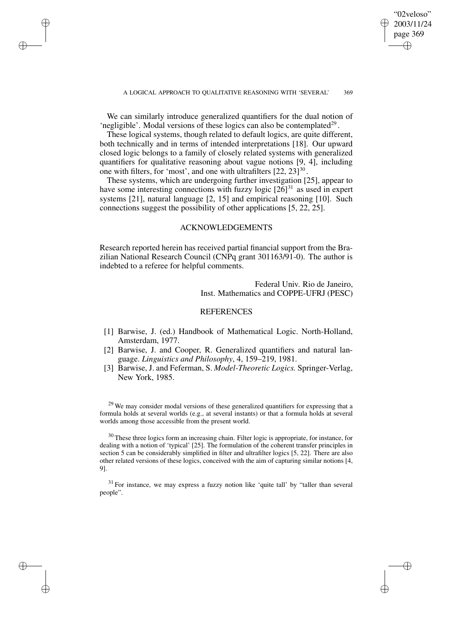✐

We can similarly introduce generalized quantifiers for the dual notion of 'negligible'. Modal versions of these logics can also be contemplated $2^9$ .

✐

✐

✐

✐

These logical systems, though related to default logics, are quite different, both technically and in terms of intended interpretations [18]. Our upward closed logic belongs to a family of closely related systems with generalized quantifiers for qualitative reasoning about vague notions [9, 4], including one with filters, for 'most', and one with ultrafilters  $[22, 23]^{30}$ .

These systems, which are undergoing further investigation [25], appear to have some interesting connections with fuzzy logic  $[26]$ <sup>31</sup> as used in expert systems [21], natural language [2, 15] and empirical reasoning [10]. Such connections suggest the possibility of other applications [5, 22, 25].

# ACKNOWLEDGEMENTS

Research reported herein has received partial financial support from the Brazilian National Research Council (CNPq grant 301163/91-0). The author is indebted to a referee for helpful comments.

> Federal Univ. Rio de Janeiro, Inst. Mathematics and COPPE-UFRJ (PESC)

# **REFERENCES**

- [1] Barwise, J. (ed.) Handbook of Mathematical Logic. North-Holland, Amsterdam, 1977.
- [2] Barwise, J. and Cooper, R. Generalized quantifiers and natural language. *Linguistics and Philosophy*, 4, 159–219, 1981.
- [3] Barwise, J. and Feferman, S. *Model-Theoretic Logics.* Springer-Verlag, New York, 1985.

<sup>29</sup> We may consider modal versions of these generalized quantifiers for expressing that a formula holds at several worlds (e.g., at several instants) or that a formula holds at several worlds among those accessible from the present world.

<sup>30</sup> These three logics form an increasing chain. Filter logic is appropriate, for instance, for dealing with a notion of 'typical' [25]. The formulation of the coherent transfer principles in section 5 can be considerably simplified in filter and ultrafilter logics [5, 22]. There are also other related versions of these logics, conceived with the aim of capturing similar notions [4, 9].

<sup>31</sup> For instance, we may express a fuzzy notion like 'quite tall' by "taller than several people".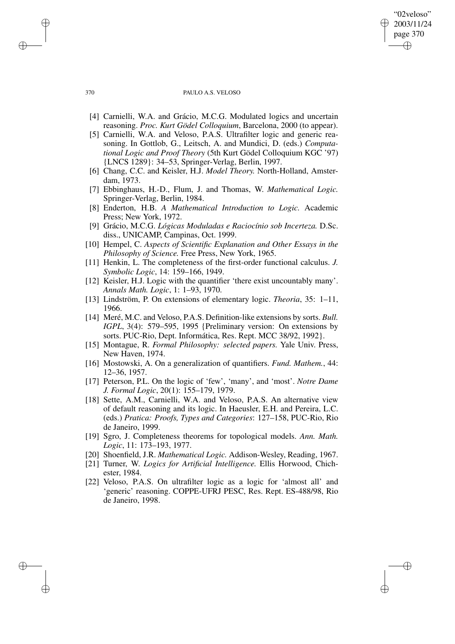#### 370 PAULO A.S. VELOSO

"02veloso" 2003/11/24 page 370

✐

✐

✐

✐

- [4] Carnielli, W.A. and Grácio, M.C.G. Modulated logics and uncertain reasoning. *Proc. Kurt Gödel Colloquium*, Barcelona, 2000 (to appear).
- [5] Carnielli, W.A. and Veloso, P.A.S. Ultrafilter logic and generic reasoning. In Gottlob, G., Leitsch, A. and Mundici, D. (eds.) *Computational Logic and Proof Theory* (5th Kurt Gödel Colloquium KGC '97) {LNCS 1289}: 34–53, Springer-Verlag, Berlin, 1997.
- [6] Chang, C.C. and Keisler, H.J. *Model Theory.* North-Holland, Amsterdam, 1973.
- [7] Ebbinghaus, H.-D., Flum, J. and Thomas, W. *Mathematical Logic.* Springer-Verlag, Berlin, 1984.
- [8] Enderton, H.B. *A Mathematical Introduction to Logic.* Academic Press; New York, 1972.
- [9] Grácio, M.C.G. *Lógicas Moduladas e Raciocínio sob Incerteza.* D.Sc. diss., UNICAMP, Campinas, Oct. 1999.
- [10] Hempel, C. *Aspects of Scientific Explanation and Other Essays in the Philosophy of Science.* Free Press, New York, 1965.
- [11] Henkin, L. The completeness of the first-order functional calculus. *J. Symbolic Logic*, 14: 159–166, 1949.
- [12] Keisler, H.J. Logic with the quantifier 'there exist uncountably many'. *Annals Math. Logic*, 1: 1–93, 1970.
- [13] Lindström, P. On extensions of elementary logic. *Theoria*, 35: 1–11, 1966.
- [14] Meré, M.C. and Veloso, P.A.S. Definition-like extensions by sorts. *Bull. IGPL*, 3(4): 579–595, 1995 {Preliminary version: On extensions by sorts. PUC-Rio, Dept. Informática, Res. Rept. MCC 38/92, 1992}.
- [15] Montague, R. *Formal Philosophy: selected papers.* Yale Univ. Press, New Haven, 1974.
- [16] Mostowski, A. On a generalization of quantifiers. *Fund. Mathem.*, 44: 12–36, 1957.
- [17] Peterson, P.L. On the logic of 'few', 'many', and 'most'. *Notre Dame J. Formal Logic*, 20(1): 155–179, 1979.
- [18] Sette, A.M., Carnielli, W.A. and Veloso, P.A.S. An alternative view of default reasoning and its logic. In Haeusler, E.H. and Pereira, L.C. (eds.) *Pratica: Proofs, Types and Categories*: 127–158, PUC-Rio, Rio de Janeiro, 1999.
- [19] Sgro, J. Completeness theorems for topological models. *Ann. Math. Logic*, 11: 173–193, 1977.
- [20] Shoenfield, J.R. *Mathematical Logic.* Addison-Wesley, Reading, 1967.
- [21] Turner, W. *Logics for Artificial Intelligence.* Ellis Horwood, Chichester, 1984.
- [22] Veloso, P.A.S. On ultrafilter logic as a logic for 'almost all' and 'generic' reasoning. COPPE-UFRJ PESC, Res. Rept. ES-488/98, Rio de Janeiro, 1998.

✐

✐

✐